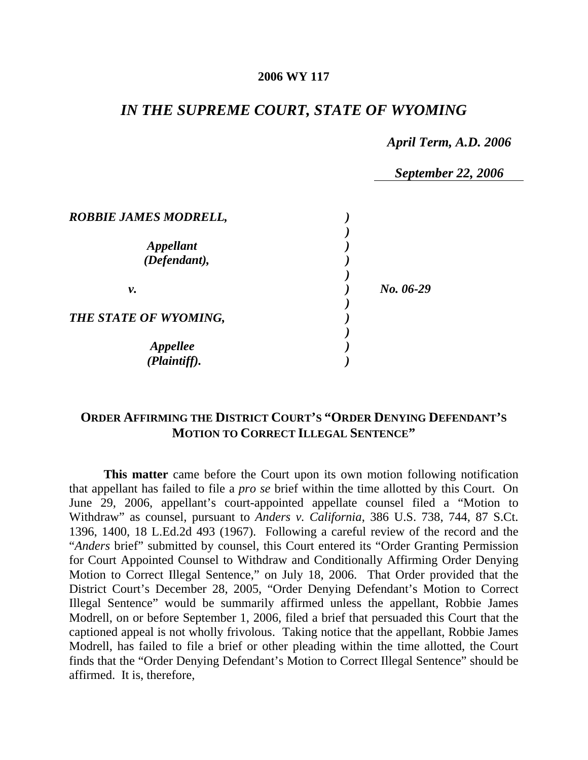#### **2006 WY 117**

## *IN THE SUPREME COURT, STATE OF WYOMING*

### *April Term, A.D. 2006*

*September 22, 2006* 

| <b>ROBBIE JAMES MODRELL,</b>            |           |
|-----------------------------------------|-----------|
| <i><b>Appellant</b></i><br>(Defendant), |           |
| ν.                                      | No. 06-29 |
| THE STATE OF WYOMING,                   |           |
| <b>Appellee</b><br>(Plaintiff).         |           |

## **ORDER AFFIRMING THE DISTRICT COURT'S "ORDER DENYING DEFENDANT'S MOTION TO CORRECT ILLEGAL SENTENCE"**

**This matter** came before the Court upon its own motion following notification that appellant has failed to file a *pro se* brief within the time allotted by this Court. On June 29, 2006, appellant's court-appointed appellate counsel filed a "Motion to Withdraw" as counsel, pursuant to *Anders v. California*, 386 U.S. 738, 744, 87 S.Ct. 1396, 1400, 18 L.Ed.2d 493 (1967). Following a careful review of the record and the "*Anders* brief" submitted by counsel, this Court entered its "Order Granting Permission for Court Appointed Counsel to Withdraw and Conditionally Affirming Order Denying Motion to Correct Illegal Sentence," on July 18, 2006. That Order provided that the District Court's December 28, 2005, "Order Denying Defendant's Motion to Correct Illegal Sentence" would be summarily affirmed unless the appellant, Robbie James Modrell, on or before September 1, 2006, filed a brief that persuaded this Court that the captioned appeal is not wholly frivolous. Taking notice that the appellant, Robbie James Modrell, has failed to file a brief or other pleading within the time allotted, the Court finds that the "Order Denying Defendant's Motion to Correct Illegal Sentence" should be affirmed. It is, therefore,